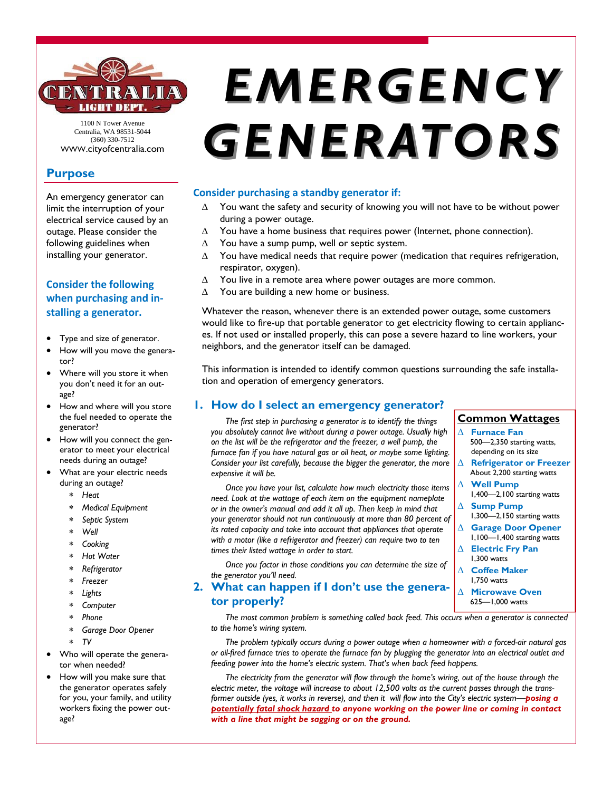

1100 N Tower Avenue Centralia, WA 98531-5044 (360) 330-7512 WWW.cityofcentralia.com

# **Purpose**

An emergency generator can limit the interruption of your electrical service caused by an outage. Please consider the following guidelines when installing your generator.

# **Consider the following when purchasing and in‐ stalling a generator.**

- Type and size of generator.
- How will you move the generator?
- Where will you store it when you don't need it for an outage?
- How and where will you store the fuel needed to operate the generator?
- How will you connect the generator to meet your electrical needs during an outage?
- What are your electric needs during an outage?
	- *Heat*
	- *Medical Equipment*
	- *Septic System*
	- *Well*
	- *Cooking*
	- *Hot Water*
	- *Refrigerator*
	- *Freezer*
	- *Lights*
	- *Computer*
	- *Phone*
	- *Garage Door Opener*
	- *TV*
- Who will operate the generator when needed?
- How will you make sure that the generator operates safely for you, your family, and utility workers fixing the power outage?

# *EMERGENCY EMERGENCY GENERATORS GENERATORS*

## **Consider purchasing a standby generator if:**

- $\Delta$  You want the safety and security of knowing you will not have to be without power during a power outage.
- $\Delta$  You have a home business that requires power (Internet, phone connection).
- $\Delta$  You have a sump pump, well or septic system.
- $\Delta$  You have medical needs that require power (medication that requires refrigeration, respirator, oxygen).
- $\Delta$  You live in a remote area where power outages are more common.
- $\Delta$  You are building a new home or business.

Whatever the reason, whenever there is an extended power outage, some customers would like to fire-up that portable generator to get electricity flowing to certain appliances. If not used or installed properly, this can pose a severe hazard to line workers, your neighbors, and the generator itself can be damaged.

This information is intended to identify common questions surrounding the safe installation and operation of emergency generators.

## **1. How do I select an emergency generator?**

*The first step in purchasing a generator is to identify the things you absolutely cannot live without during a power outage. Usually high on the list will be the refrigerator and the freezer, a well pump, the furnace fan if you have natural gas or oil heat, or maybe some lighting. Consider your list carefully, because the bigger the generator, the more expensive it will be.* 

*Once you have your list, calculate how much electricity those items need. Look at the wattage of each item on the equipment nameplate or in the owner's manual and add it all up. Then keep in mind that your generator should not run continuously at more than 80 percent of its rated capacity and take into account that appliances that operate with a motor (like a refrigerator and freezer) can require two to ten times their listed wattage in order to start.* 

*Once you factor in those conditions you can determine the size of the generator you'll need.* 

**tor properly?** 

#### **Common Wattages Furnace Fan**

- 500—2,350 starting watts, depending on its size
- **Refrigerator or Freezer**  About 2,200 starting watts
- **Well Pump**  1,400—2,100 starting watts
- **Sump Pump**
- 1,300—2,150 starting watts **Garage Door Opener**
- 1,100—1,400 starting watts
- **Electric Fry Pan**  1,300 watts
- **Coffee Maker**  1,750 watts
- **2. What can happen if I don't use the genera- Microwave Oven**  625—1,000 watts

*The most common problem is something called back feed. This occurs when a generator is connected to the home's wiring system.* 

*The problem typically occurs during a power outage when a homeowner with a forced-air natural gas or oil-fired furnace tries to operate the furnace fan by plugging the generator into an electrical outlet and feeding power into the home's electric system. That's when back feed happens.* 

*The electricity from the generator will flow through the home's wiring, out of the house through the electric meter, the voltage will increase to about 12,500 volts as the current passes through the transformer outside (yes, it works in reverse), and then it will flow into the City's electric system—posing a potentially fatal shock hazard to anyone working on the power line or coming in contact with a line that might be sagging or on the ground.*